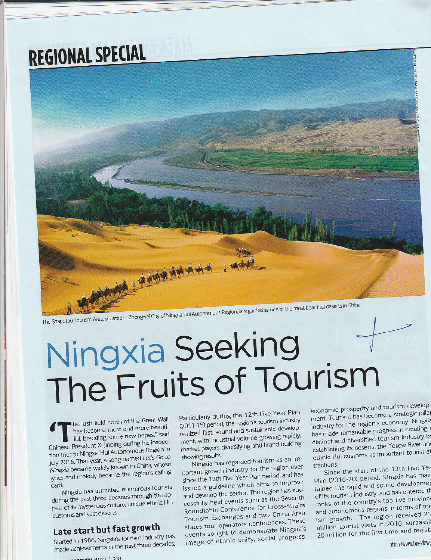## **REGIONAL SPECIAL**



## Ningxia Seeking The Fruits of Tourism

he lush field north of the Great Wall has become more and more beautiful, breeding some new hopes," said Chinese President Xi Jinping during his inspection tour to Ningxia Hui Autonomous Region in July 2016. That year, a song named Let's Go to Ningxia became widely known in China, whose lyrics and melody became the region's calling card.

Ningxia has attracted numerous tourists during the past three decades through the appeal of its mysterious culture, unique ethnic Hui customs and vast deserts.

## Late start but fast growth

Started in 1986, Ningxia's tourism industry has made achievements in the past three decades.

Particularly during the 12th Five-Year Plan (2011-15) period, the region's tourism industry realized fast, sound and sustainable development, with industrial volume growing rapidly, market players diversifying and brand building showing results.

Ningxia has regarded tourism as an important growth industry for the region ever since the 12th Five-Year Plan period, and has issued a guideline which aims to improve and develop the sector. The region has successfully held events such as the Seventh Roundtable Conference for Cross-Straits Tourism Exchanges and two China-Arab states tour operators conferences. These events sought to demonstrate Ningxia's image of ethnic unity, social progress,

economic prosperity and tourism development. Tourism has become a strategic pillar industry for the region's economy. Ningxia has made remarkable progress in creating distinct and diversified tourism industry by establishing its deserts, the Yellow River and ethnic Hui customs as important tourist at tractions.

Since the start of the 13th Five-Yea Plan (2016-20) period, Ningxia has mair tained the rapid and sound developmen of its tourism industry, and has entered th ranks of the country's top five provinc and autonomous regions in terms of tou ism growth. The region received 21 million tourist visits in 2016, surpassi 20 million for the first time and regist